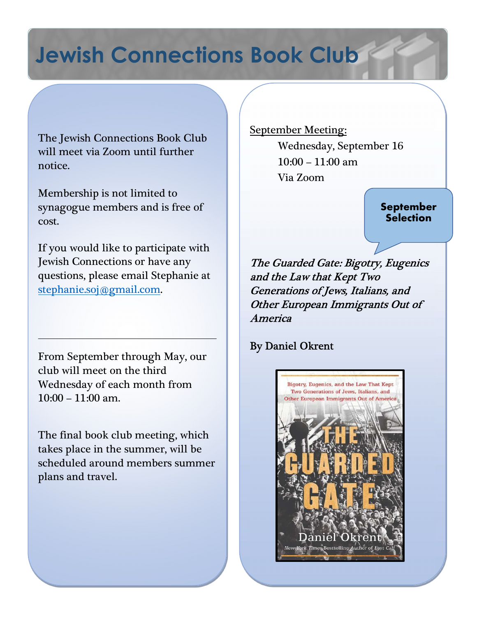# Jewish Connections Book Club

The Jewish Connections Book Club will meet via Zoom until further notice.

Membership is not limited to synagogue members and is free of cost.

If you would like to participate with Jewish Connections or have any questions, please email Stephanie at stephanie.soj@gmail.com.

From September through May, our club will meet on the third Wednesday of each month from  $10:00 - 11:00$  am.

The final book club meeting, which takes place in the summer, will be scheduled around members summer plans and travel.

September Meeting:

Wednesday, September 16 10:00 – 11:00 am Via Zoom

> September **Selection**

 The Guarded Gate: Bigotry, Eugenics and the Law that Kept Two Generations of Jews, Italians, and Other European Immigrants Out of America

# By Daniel Okrent

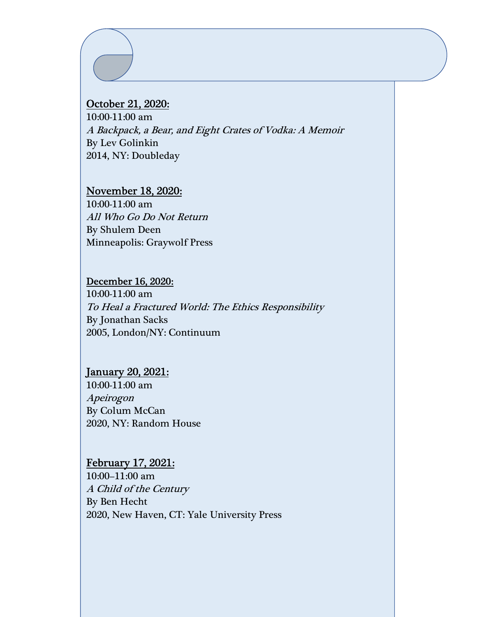#### October 21, 2020:

10:00-11:00 am A Backpack, a Bear, and Eight Crates of Vodka: A Memoir By Lev Golinkin 2014, NY: Doubleday

#### November 18, 2020:

10:00-11:00 am All Who Go Do Not Return By Shulem Deen Minneapolis: Graywolf Press

#### December 16, 2020:

10:00-11:00 am To Heal a Fractured World: The Ethics Responsibility By Jonathan Sacks 2005, London/NY: Continuum

#### January 20, 2021:

10:00-11:00 am Apeirogon By Colum McCan 2020, NY: Random House

#### February 17, 2021:

10:00–11:00 am A Child of the Century By Ben Hecht 2020, New Haven, CT: Yale University Press